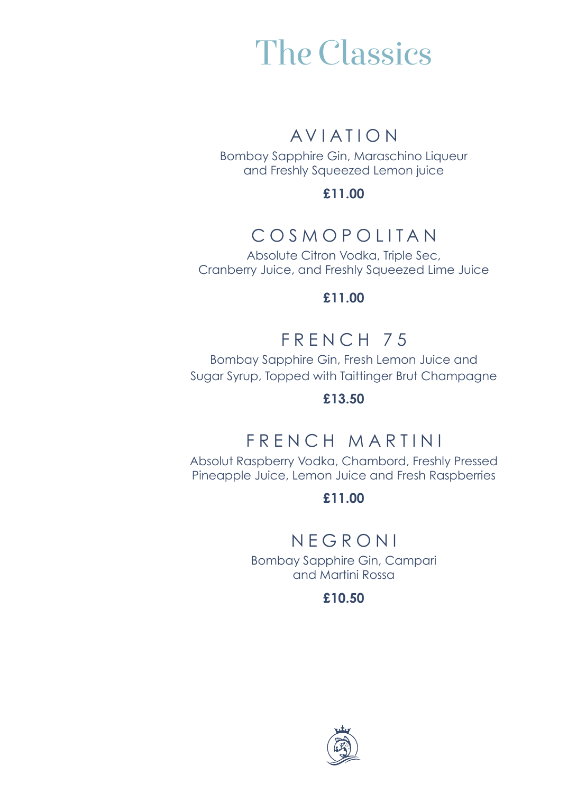## The Classics

### AVIATION

Bombay Sapphire Gin, Maraschino Liqueur and Freshly Squeezed Lemon juice

**£11.00**

## COSMOPOLITAN

Absolute Citron Vodka, Triple Sec, Cranberry Juice, and Freshly Squeezed Lime Juice

**£11.00**

## FRENCH 75

Bombay Sapphire Gin, Fresh Lemon Juice and Sugar Syrup, Topped with Taittinger Brut Champagne

**£13.50**

## FRENCH MARTINI

Absolut Raspberry Vodka, Chambord, Freshly Pressed Pineapple Juice, Lemon Juice and Fresh Raspberries

**£11.00**

### NEGRONI

Bombay Sapphire Gin, Campari and Martini Rossa

**£10.50**

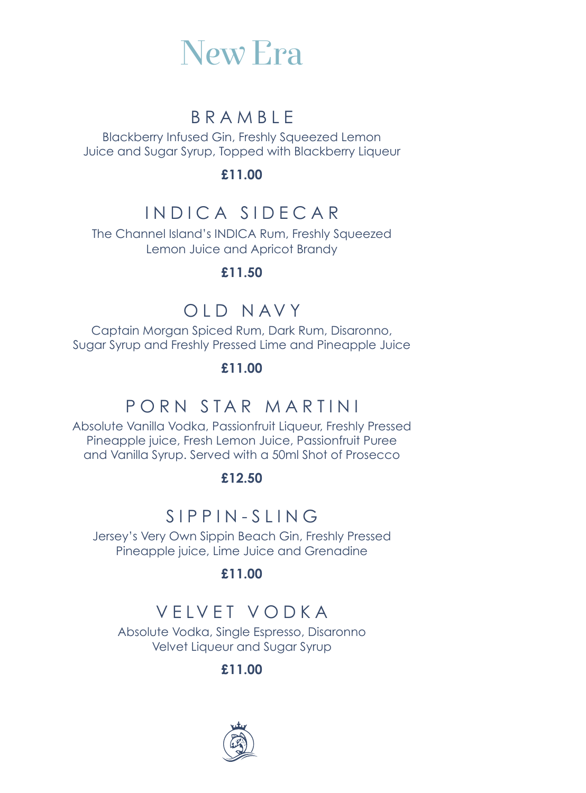

### BRAMBLE

Blackberry Infused Gin, Freshly Squeezed Lemon Juice and Sugar Syrup, Topped with Blackberry Liqueur

**£11.00**

### INDICA SIDECAR

The Channel Island's INDICA Rum, Freshly Squeezed Lemon Juice and Apricot Brandy

**£11.50**

### OLD NAVY

Captain Morgan Spiced Rum, Dark Rum, Disaronno, Sugar Syrup and Freshly Pressed Lime and Pineapple Juice

#### **£11.00**

### PORN STAR MARTINI

Absolute Vanilla Vodka, Passionfruit Liqueur, Freshly Pressed Pineapple juice, Fresh Lemon Juice, Passionfruit Puree and Vanilla Syrup. Served with a 50ml Shot of Prosecco

#### **£12.50**

## SIPPIN-SLING

Jersey's Very Own Sippin Beach Gin, Freshly Pressed Pineapple juice, Lime Juice and Grenadine

#### **£11.00**

## VELVET VODKA

Absolute Vodka, Single Espresso, Disaronno Velvet Liqueur and Sugar Syrup

**£11.00**

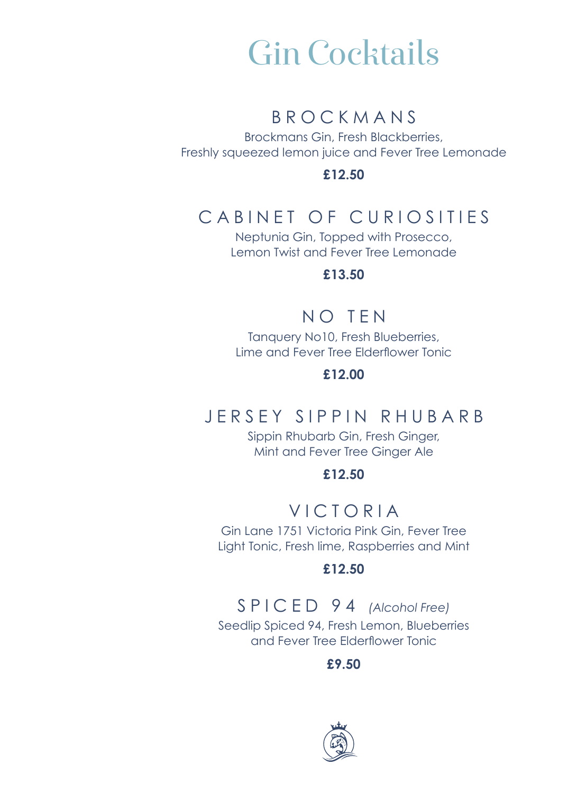## Gin Cocktails

### BROCKMANS

Brockmans Gin, Fresh Blackberries, Freshly squeezed lemon juice and Fever Tree Lemonade

**£12.50**

## CABINET OF CURIOSITIES

Neptunia Gin, Topped with Prosecco, Lemon Twist and Fever Tree Lemonade

#### **£13.50**

### NO TEN

Tanquery No10, Fresh Blueberries, Lime and Fever Tree Elderflower Tonic

#### **£12.00**

### JERSEY SIPPIN RHUBARB

Sippin Rhubarb Gin, Fresh Ginger, Mint and Fever Tree Ginger Ale

#### **£12.50**

### VICTORIA

Gin Lane 1751 Victoria Pink Gin, Fever Tree Light Tonic, Fresh lime, Raspberries and Mint

#### **£12.50**

### SPICED 94 *(Alcohol Free)*

Seedlip Spiced 94, Fresh Lemon, Blueberries and Fever Tree Elderflower Tonic

**£9.50**

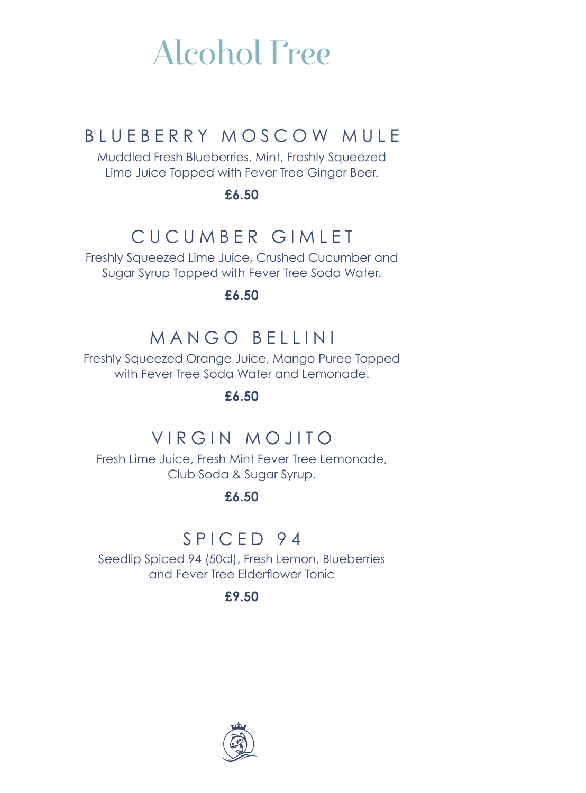## Alcohol Free

## BLUEBERRY MOSCOW MULE

Muddled Fresh Blueberries, Mint, Freshly Squeezed Lime Juice Topped with Fever Tree Ginger Beer.

**£6.50**

## CUCUMBER GIMLET

Freshly Squeezed Lime Juice, Crushed Cucumber and Sugar Syrup Topped with Fever Tree Soda Water.

**£6.50**

## MANGO BELLINI

Freshly Squeezed Orange Juice, Mango Puree Topped with Fever Tree Soda Water and Lemonade.

**£6.50**

## VIRGIN MOJITO

Fresh Lime Juice, Fresh Mint Fever Tree Lemonade, Club Soda & Sugar Syrup.

**£6.50**

### SPICED 94

Seedlip Spiced 94 (50cl), Fresh Lemon, Blueberries and Fever Tree Elderflower Tonic

**£9.50**

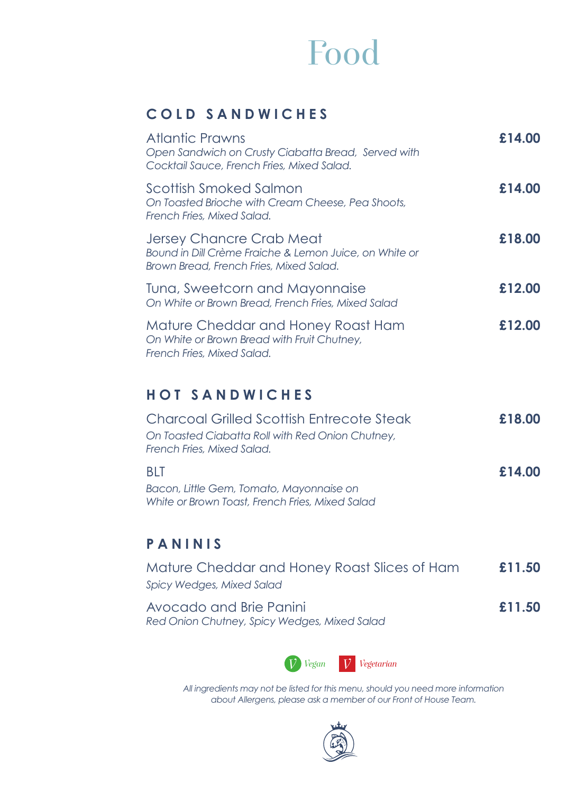## Food

#### **COLD SANDWICHES**

| Atlantic Prawns<br>Open Sandwich on Crusty Ciabatta Bread, Served with<br>Cocktail Sauce, French Fries, Mixed Salad.          | £14.00 |
|-------------------------------------------------------------------------------------------------------------------------------|--------|
| Scottish Smoked Salmon<br>On Toasted Brioche with Cream Cheese, Pea Shoots,<br>French Fries, Mixed Salad.                     | £14.00 |
| Jersey Chancre Crab Meat<br>Bound in Dill Crème Fraiche & Lemon Juice, on White or<br>Brown Bread, French Fries, Mixed Salad. | £18.00 |
| Tuna, Sweetcorn and Mayonnaise<br>On White or Brown Bread, French Fries, Mixed Salad                                          | £12.00 |
| Mature Cheddar and Honey Roast Ham<br>On White or Brown Bread with Fruit Chutney,<br>French Fries, Mixed Salad.               | £12.00 |

#### **HOT SANDWICHES**

| Charcoal Grilled Scottish Entrecote Steak        | £18.00 |
|--------------------------------------------------|--------|
| On Toasted Ciabatta Roll with Red Onion Chutney, |        |
| French Fries, Mixed Salad.                       |        |
| <b>BIT</b>                                       | £14.00 |
| Bacon, Little Gem, Tomato, Mayonnaise on         |        |
| White or Brown Toast, French Fries, Mixed Salad  |        |

#### **PANINIS**

| Mature Cheddar and Honey Roast Slices of Ham<br>Spicy Wedges, Mixed Salad | £11.50 |
|---------------------------------------------------------------------------|--------|
| Avocado and Brie Panini<br>Red Onion Chutney, Spicy Wedges, Mixed Salad   | £11.50 |



*All ingredients may not be listed for this menu, should you need more information about Allergens, please ask a member of our Front of House Team.*

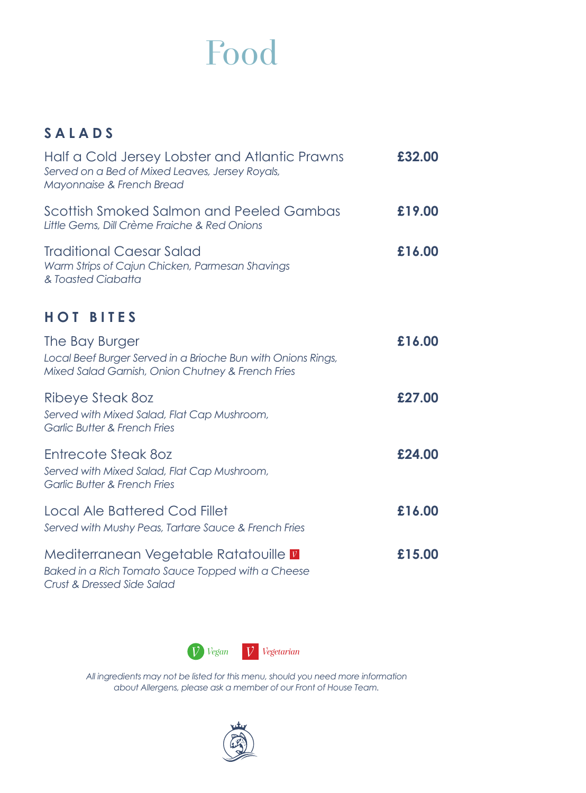## Food

### **SALADS**

| Half a Cold Jersey Lobster and Atlantic Prawns<br>Served on a Bed of Mixed Leaves, Jersey Royals,<br>Mayonnaise & French Bread      | £32.00 |
|-------------------------------------------------------------------------------------------------------------------------------------|--------|
| Scottish Smoked Salmon and Peeled Gambas<br>Little Gems, Dill Crème Fraiche & Red Onions                                            | £19.00 |
| <b>Traditional Caesar Salad</b><br>Warm Strips of Cajun Chicken, Parmesan Shavings<br>& Toasted Ciabatta                            | £16.00 |
| <b>HOT BITES</b>                                                                                                                    |        |
| The Bay Burger<br>Local Beef Burger Served in a Brioche Bun with Onions Rings,<br>Mixed Salad Garnish, Onion Chutney & French Fries | £16.00 |
| Ribeye Steak 80z<br>Served with Mixed Salad, Flat Cap Mushroom,<br><b>Garlic Butter &amp; French Fries</b>                          | £27.00 |
| Entrecote Steak 80z<br>Served with Mixed Salad, Flat Cap Mushroom,<br><b>Garlic Butter &amp; French Fries</b>                       | £24.00 |
| Local Ale Battered Cod Fillet<br>Served with Mushy Peas, Tartare Sauce & French Fries                                               | £16.00 |
| Mediterranean Vegetable Ratatouille v<br>Baked in a Rich Tomato Sauce Topped with a Cheese<br>Crust & Dressed Side Salad            | £15.00 |



*All ingredients may not be listed for this menu, should you need more information about Allergens, please ask a member of our Front of House Team.*

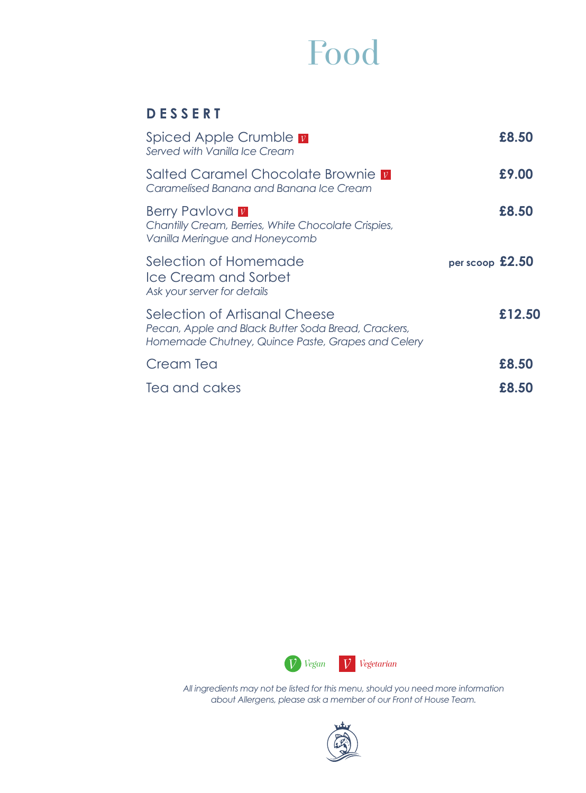## Food

#### **DESSERT**

| Spiced Apple Crumble v<br>Served with Vanilla Ice Cream                                                                                   |                 | £8,50  |
|-------------------------------------------------------------------------------------------------------------------------------------------|-----------------|--------|
| Salted Caramel Chocolate Brownie <b>V</b><br>Caramelised Banana and Banana Ice Cream                                                      |                 | £9.00  |
| <b>Berry Pavlova v</b><br>Chantilly Cream, Berries, White Chocolate Crispies,<br>Vanilla Meringue and Honeycomb                           |                 | £8.50  |
| Selection of Homemade<br>Ice Cream and Sorbet<br>Ask your server for details                                                              | per scoop £2.50 |        |
| Selection of Artisanal Cheese<br>Pecan, Apple and Black Butter Soda Bread, Crackers,<br>Homemade Chutney, Quince Paste, Grapes and Celery |                 | £12.50 |
| Cream Tea                                                                                                                                 |                 | £8.50  |
| Tea and cakes                                                                                                                             |                 | £8.50  |



*All ingredients may not be listed for this menu, should you need more information about Allergens, please ask a member of our Front of House Team.*

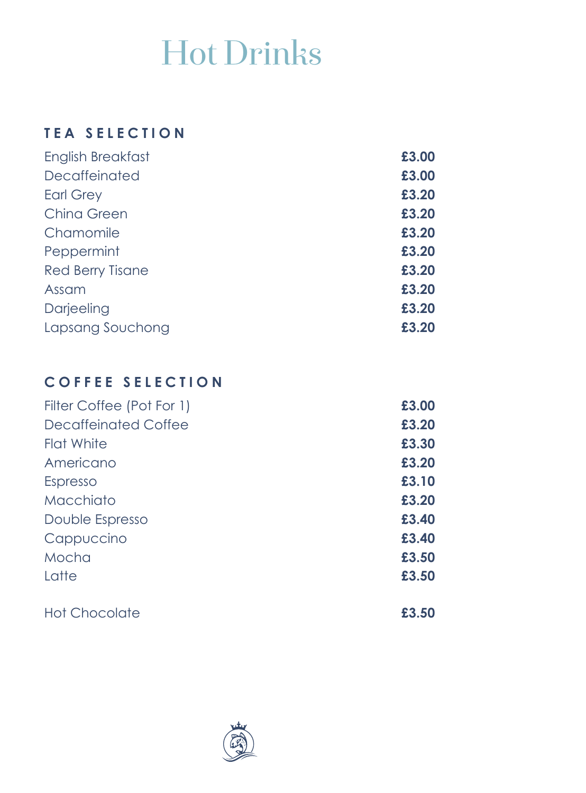## Hot Drinks

#### **TEA SELECTION**

| £3.00 |
|-------|
| £3.00 |
| £3.20 |
| £3.20 |
| £3.20 |
| £3.20 |
| £3.20 |
| £3.20 |
| £3.20 |
| £3.20 |
|       |

### **COFFEE SELECTION**

| Filter Coffee (Pot For 1) | £3.00 |
|---------------------------|-------|
| Decaffeinated Coffee      | £3.20 |
| Flat White                | £3.30 |
| Americano                 | £3.20 |
| Espresso                  | £3.10 |
| Macchiato                 | £3.20 |
| Double Espresso           | £3.40 |
| Cappuccino                | £3.40 |
| Mocha                     | £3.50 |
| Latte                     | £3.50 |
| <b>Hot Chocolate</b>      | £3.50 |

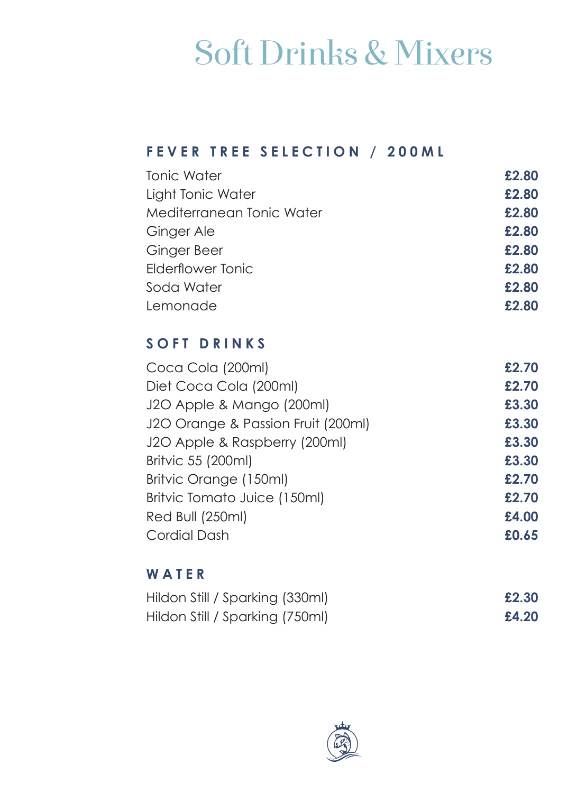## Soft Drinks & Mixers

#### **FEVER TREE SELECTION / 200ML**

| <b>Tonic Water</b>        | £2.80 |
|---------------------------|-------|
| Light Tonic Water         | £2.80 |
| Mediterranean Tonic Water | £2.80 |
| Ginger Ale                | £2.80 |
| Ginger Beer               | £2.80 |
| Elderflower Tonic         | £2.80 |
| Soda Water                | £2.80 |
| Lemonade                  | £2.80 |
|                           |       |

#### **SOFT DRINKS**

| Coca Cola (200ml)                  | £2.70 |
|------------------------------------|-------|
| Diet Coca Cola (200ml)             | £2.70 |
| J2O Apple & Mango (200ml)          | £3.30 |
| J2O Orange & Passion Fruit (200ml) | £3.30 |
| J2O Apple & Raspberry (200ml)      | £3.30 |
| Britvic 55 (200ml)                 | £3.30 |
| Britvic Orange (150ml)             | £2.70 |
| Britvic Tomato Juice (150ml)       | £2.70 |
| Red Bull (250ml)                   | £4.00 |
| Cordial Dash                       | £0.65 |
|                                    |       |

#### **WATER**

| Hildon Still / Sparking (330ml) | £2.30 |
|---------------------------------|-------|
| Hildon Still / Sparking (750ml) | £4.20 |

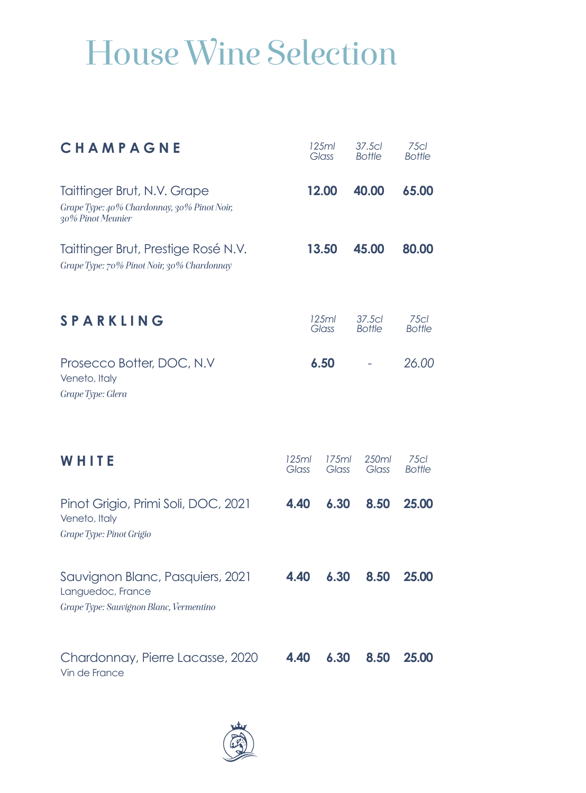# House Wine Selection

| CHAMPAGNE                                                                                        | 125ml<br>Glass |                | 37.5cl<br><b>Bottle</b> | 75 <sub>cl</sub><br><b>Bottle</b> |
|--------------------------------------------------------------------------------------------------|----------------|----------------|-------------------------|-----------------------------------|
| Taittinger Brut, N.V. Grape<br>Grape Type: 40% Chardonnay, 30% Pinot Noir;<br>30% Pinot Meunier  |                | 12.00          |                         | 65.00                             |
| Taittinger Brut, Prestige Rosé N.V.<br>Grape Type: 70% Pinot Noir, 30% Chardonnay                | 13.50          |                | 45.00                   | 80.00                             |
| <b>SPARKLING</b>                                                                                 |                | 125ml<br>Glass |                         | 75 <sub>cl</sub><br><b>Bottle</b> |
| Prosecco Botter, DOC, N.V<br>Veneto, Italy<br>Grape Type: Glera                                  |                | 6.50           |                         | 26.00                             |
| WHITE                                                                                            | 125ml<br>Glass | 175ml<br>Glass | 250ml<br>Glass          | 75 <sub>cl</sub><br><b>Bottle</b> |
| Pinot Grigio, Primi Soli, DOC, 2021<br>Veneto, Italy<br>Grape Type: Pinot Grigio                 | 4.40           | 6.30           | 8.50                    | 25.00                             |
| Sauvignon Blanc, Pasquiers, 2021<br>Languedoc, France<br>Grape Type: Sauvignon Blanc, Vermentino | 4.40           | 6.30           | 8.50                    | 25.00                             |
| Chardonnay, Pierre Lacasse, 2020<br>Vin de France                                                | 4.40           | 6.30           | 8.50                    | 25.00                             |

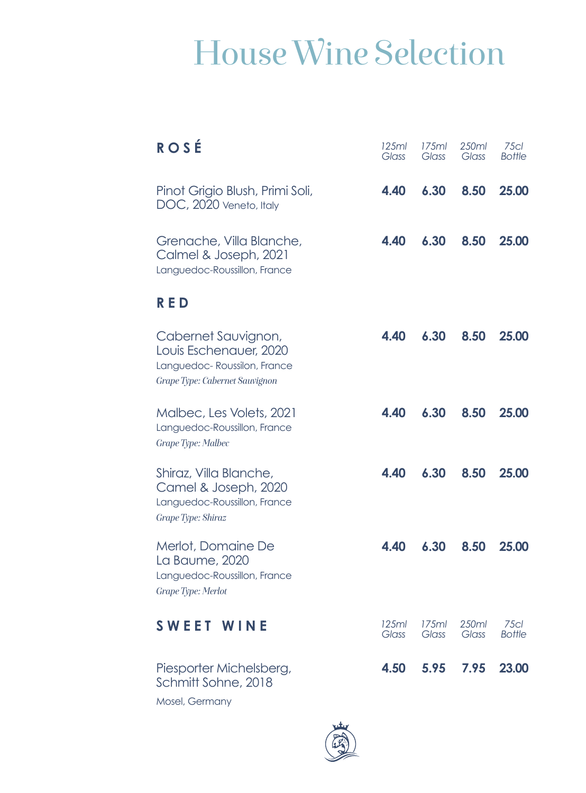# House Wine Selection

| <b>ROSÉ</b>                                                                                                    | 125ml<br>Glass | 175ml<br>Glass | 250ml<br>Glass | 75 <sub>cl</sub><br><b>Bottle</b> |
|----------------------------------------------------------------------------------------------------------------|----------------|----------------|----------------|-----------------------------------|
| Pinot Grigio Blush, Primi Soli,<br>DOC, 2020 Veneto, Italy                                                     | 4.40           | 6.30           | 8.50           | 25.00                             |
| Grenache, Villa Blanche,<br>Calmel & Joseph, 2021<br>Languedoc-Roussillon, France                              | 4.40           | 6.30           | 8.50           | 25.00                             |
| <b>RED</b>                                                                                                     |                |                |                |                                   |
| Cabernet Sauvignon,<br>Louis Eschenauer, 2020<br>Languedoc-Roussilon, France<br>Grape Type: Cabernet Sauvignon | 4.40           | 6.30           | 8.50           | 25.00                             |
| Malbec, Les Volets, 2021<br>Languedoc-Roussillon, France<br>Grape Type: Malbec                                 | 4.40           | 6.30           | 8.50           | 25.00                             |
| Shiraz, Villa Blanche,<br>Camel & Joseph, 2020<br>Languedoc-Roussillon, France<br>Grape Type: Shiraz           | 4.40           | 6.30           | 8.50           | 25.00                             |
| Merlot, Domaine De<br>La Baume, 2020<br>Languedoc-Roussillon, France<br>Grape Type: Merlot                     | 4.40           | 6.30           | 8.50           | 25.00                             |
| SWEET WINE                                                                                                     | 125ml<br>Glass | 175ml<br>Glass | 250ml<br>Glass | 75 <sub>cl</sub><br><b>Bottle</b> |
| Piesporter Michelsberg,<br>Schmitt Sohne, 2018                                                                 | 4.50           | 5.95           | 7.95           | 23.00                             |

Mosel, Germany

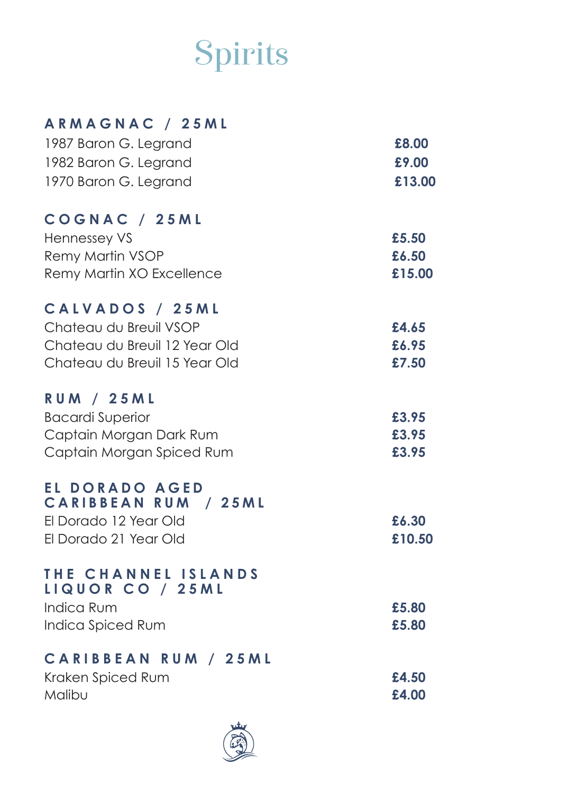# Spirits

| ARMAGNAC / 25ML                               |        |
|-----------------------------------------------|--------|
| 1987 Baron G. Legrand                         | £8.00  |
| 1982 Baron G. Legrand                         | £9.00  |
| 1970 Baron G. Legrand                         | £13.00 |
| COGNAC / 25ML                                 |        |
| <b>Hennessey VS</b>                           | £5.50  |
| Remy Martin VSOP                              | £6.50  |
| Remy Martin XO Excellence                     | £15.00 |
| CALVADOS / 25ML                               |        |
| Chateau du Breuil VSOP                        | £4.65  |
| Chateau du Breuil 12 Year Old                 | £6.95  |
| Chateau du Breuil 15 Year Old                 | £7.50  |
| <b>RUM / 25ML</b>                             |        |
| <b>Bacardi Superior</b>                       | £3.95  |
| Captain Morgan Dark Rum                       | £3.95  |
| Captain Morgan Spiced Rum                     | £3.95  |
| EL DORADO AGED<br><b>CARIBBEAN RUM / 25ML</b> |        |
| El Dorado 12 Year Old                         | £6.30  |
| El Dorado 21 Year Old                         | £10.50 |
| THE CHANNEL ISLANDS<br>LIQUOR CO / 25ML       |        |
| <b>Indica Rum</b>                             | £5.80  |
| Indica Spiced Rum                             | £5.80  |
| <b>CARIBBEAN RUM / 25ML</b>                   |        |
| Kraken Spiced Rum                             | £4.50  |
| Malibu                                        | £4.00  |

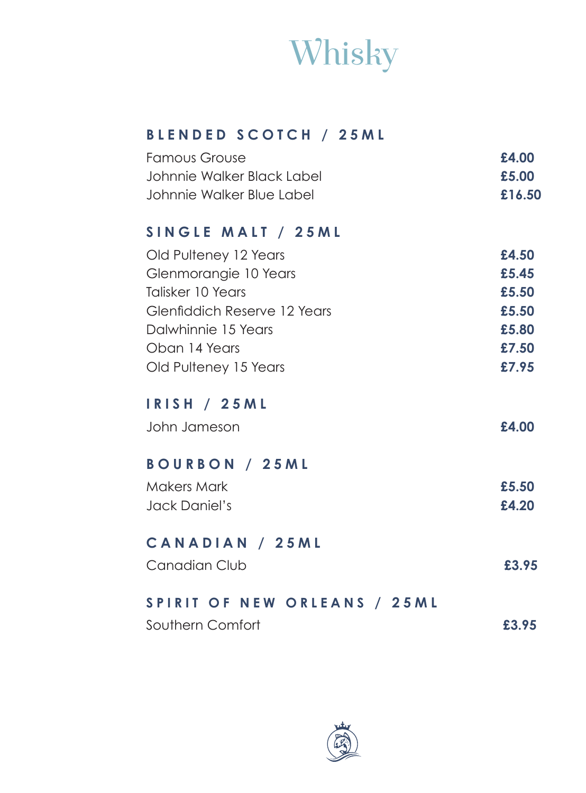

#### **BLENDED SCOTCH / 25ML**

| <b>Famous Grouse</b>       | £4.00  |
|----------------------------|--------|
| Johnnie Walker Black Label | £5.00  |
| Johnnie Walker Blue Label  | £16.50 |

#### **SINGLE MALT / 25ML**

| Old Pulteney 12 Years        | £4.50 |
|------------------------------|-------|
| Glenmorangie 10 Years        | £5.45 |
| Talisker 10 Years            | £5.50 |
| Glenfiddich Reserve 12 Years | £5.50 |
| Dalwhinnie 15 Years          | £5.80 |
| Oban 14 Years                | £7.50 |
| Old Pulteney 15 Years        | £7.95 |
|                              |       |

#### **IRISH / 25ML**

| John Jameson | £4.00 |
|--------------|-------|
|              |       |

#### **BOURBON / 25ML**

| Makers Mark   | £5.50 |
|---------------|-------|
| Jack Daniel's | £4.20 |

#### **CANADIAN / 25ML**

| Canadian Club | £3.95 |
|---------------|-------|
|               |       |

### **SPIRIT OF NEW ORLEANS / 25ML**

| Southern Comfort | £3.95 |  |
|------------------|-------|--|
|                  |       |  |

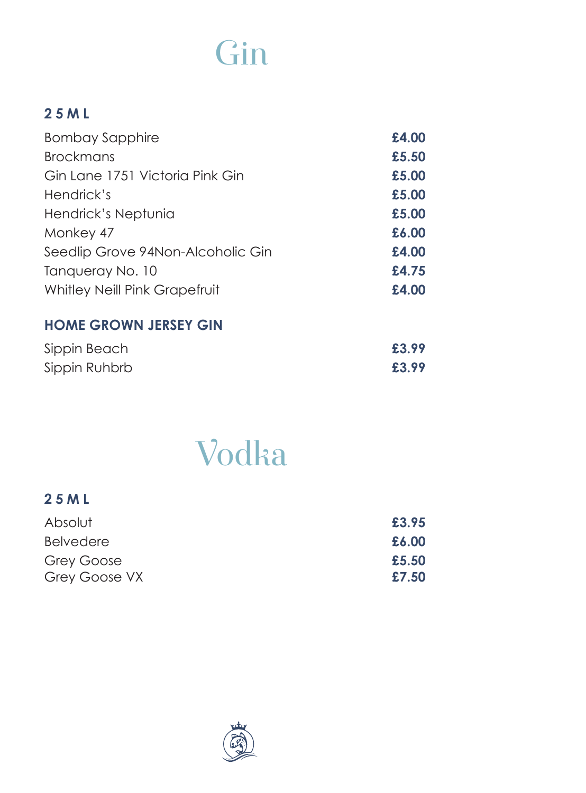## Gin

### **25ML**

| £4.00 |
|-------|
| £5.50 |
| £5.00 |
| £5.00 |
| £5.00 |
| £6.00 |
| £4.00 |
| £4.75 |
| £4.00 |
|       |

#### **HOME GROWN JERSEY GIN**

| Sippin Beach  | £3.99 |
|---------------|-------|
| Sippin Ruhbrb | £3.99 |

# Vodka

| 25 M L           |       |
|------------------|-------|
| Absolut          | £3.95 |
| <b>Belvedere</b> | £6.00 |
| Grey Goose       | £5.50 |
| Grey Goose VX    | £7.50 |

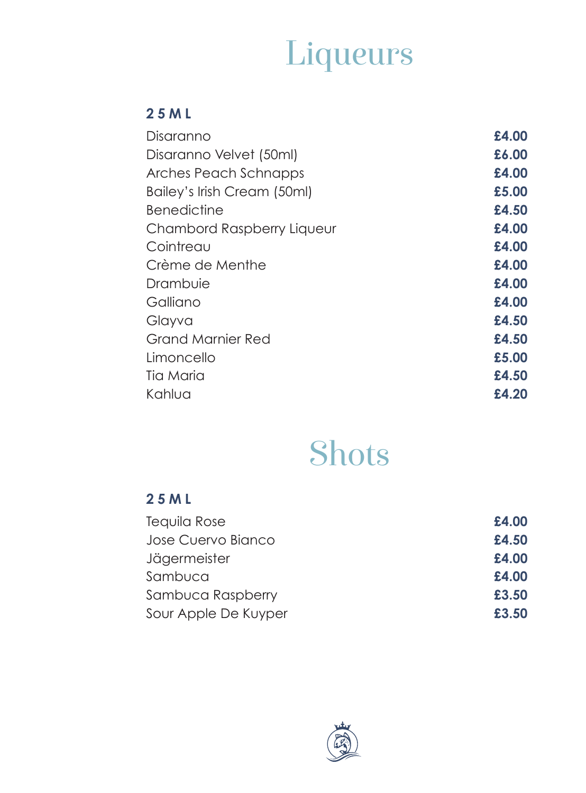# Liqueurs

#### **25ML**

| Disaranno                   | £4.00 |
|-----------------------------|-------|
| Disaranno Velvet (50ml)     | £6.00 |
| Arches Peach Schnapps       | £4.00 |
| Bailey's Irish Cream (50ml) | £5.00 |
| <b>Benedictine</b>          | £4.50 |
| Chambord Raspberry Liqueur  | £4.00 |
| Cointreau                   | £4.00 |
| Crème de Menthe             | £4.00 |
| Drambuie                    | £4.00 |
| Galliano                    | £4.00 |
| Glayva                      | £4.50 |
| Grand Marnier Red           | £4.50 |
| Limoncello                  | £5.00 |
| Tia Maria                   | £4.50 |
| Kahlua                      | £4.20 |
|                             |       |

## Shots

### **25ML**

| Tequila Rose         | £4.00 |
|----------------------|-------|
| Jose Cuervo Bianco   | £4.50 |
| Jägermeister         | £4.00 |
| Sambuca              | £4.00 |
| Sambuca Raspberry    | £3.50 |
| Sour Apple De Kuyper | £3.50 |